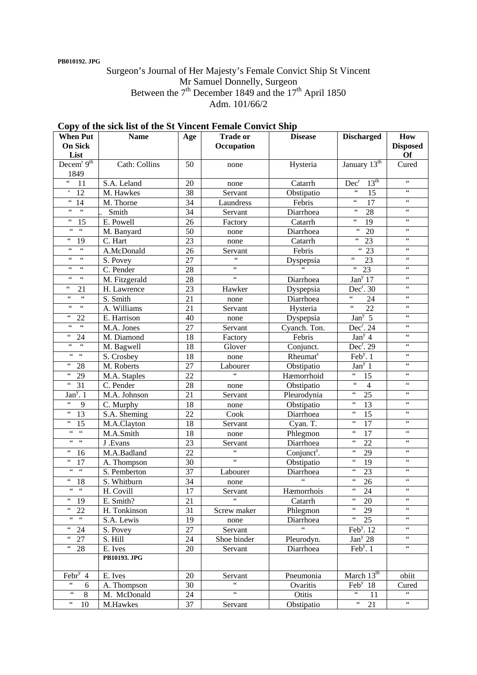### **PB010192. JPG**

## Surgeon's Journal of Her Majesty's Female Convict Ship St Vincent Mr Samuel Donnelly, Surgeon Between the  $7<sup>th</sup>$  December 1849 and the 17<sup>th</sup> April 1850 Adm. 101/66/2

| <b>When Put</b><br><b>On Sick</b>             | <b>Name</b>         | Age             | <b>Trade or</b><br>Occupation         | <b>Disease</b>           | <b>Discharged</b>                                | How<br><b>Disposed</b>                |
|-----------------------------------------------|---------------------|-----------------|---------------------------------------|--------------------------|--------------------------------------------------|---------------------------------------|
| List                                          |                     |                 |                                       |                          |                                                  | Of                                    |
| Decem <sup>r <math>9th</math></sup><br>1849   | Cath: Collins       | 50              | none                                  | Hysteria                 | January 13th                                     | Cured                                 |
| $\zeta\,\zeta$<br>11                          | S.A. Leland         | 20              | none                                  | Catarrh                  | 13 <sup>th</sup><br>Dec <sup>r</sup>             | $\zeta\,\zeta$                        |
| $\pmb{\zeta}$<br>12                           | M. Hawkes           | 38              | Servant                               | Obstipatio               | $\zeta\,\zeta$<br>15                             | $\zeta\,\zeta$                        |
| $\zeta\,\zeta$<br>14                          | M. Thorne           | 34              | Laundress                             | Febris                   | $\zeta\,\zeta$<br>17                             | $\zeta$ $\zeta$                       |
| $\epsilon\epsilon$<br>$\zeta\,\zeta$          | Smith               | 34              | Servant                               | Diarrhoea                | $\zeta\,\zeta$<br>28                             | $\zeta$ $\zeta$                       |
| $\zeta\,\zeta$<br>15                          | E. Powell           | 26              | Factory                               | Catarrh                  | $\zeta\,\zeta$<br>19                             | $\zeta$ $\zeta$                       |
| $\mathfrak{c}\mathfrak{c}$<br>$\zeta$ $\zeta$ | M. Banyard          | 50              | none                                  | Diarrhoea                | $\zeta\,\zeta$<br>20                             | $\,6\,6\,$                            |
| $\zeta$ $\zeta$<br>19                         | C. Hart             | 23              | none                                  | Catarrh                  | $\zeta$ $\zeta$<br>23                            | $\zeta$ $\zeta$                       |
| $\zeta$ $\zeta$<br>$\zeta$ $\zeta$            | A.McDonald          | 26              | Servant                               | Febris                   | $\epsilon$<br>23                                 | $\,6\,6\,$                            |
| $\zeta$ $\zeta$<br>$\zeta\,\zeta$             | S. Povey            | 27              | $\overline{\mathfrak{c}\mathfrak{c}}$ | Dyspepsia                | $\zeta\,\zeta$<br>$\overline{23}$                | $\zeta$ $\zeta$                       |
| $\zeta$ $\zeta$<br>$\zeta$ $\zeta$            | C. Pender           | 28              | $\zeta$ $\zeta$                       | $\overline{\mathcal{L}}$ | $\zeta\,\zeta$<br>23                             | $\,6\,6\,$                            |
| $\zeta\,\zeta$<br>$\zeta$ $\zeta$             | M. Fitzgerald       | 28              | $\overline{\mathfrak{c}\mathfrak{c}}$ | Diarrhoea                | Jan <sup>y</sup> 17                              | $\zeta$ $\zeta$                       |
| $\zeta$ $\zeta$<br>21                         | H. Lawrence         | 23              | Hawker                                | Dyspepsia                | $Dec^r$ . 30                                     | $\zeta$ $\zeta$                       |
| $\zeta\,\zeta$<br>$\zeta$ $\zeta$             | S. Smith            | 21              | none                                  | Diarrhoea                | $\zeta\,\zeta$<br>24                             | $\,6\,6\,$                            |
| $\zeta\,\zeta$<br>$\epsilon$                  | A. Williams         | 21              | Servant                               | Hysteria                 | $\zeta$ $\zeta$<br>$\overline{22}$               | $\zeta\,\zeta$                        |
| 66<br>22                                      | E. Harrison         | 40              | none                                  | Dyspepsia                | Jan <sup>y</sup> 5                               | $\zeta\,\zeta$                        |
| $\overline{\mathfrak{c}}$<br>$\zeta$ $\zeta$  | M.A. Jones          | 27              | Servant                               | Cyanch. Ton.             | $Dec^r$ . 24                                     | $\zeta$ $\zeta$                       |
| 66<br>24                                      | M. Diamond          | 18              | Factory                               | Febris                   | Jan <sup>y</sup> 4                               | $\,6\,6\,$                            |
| $\overline{\mathfrak{c}}$<br>$\zeta$ $\zeta$  | M. Bagwell          | 18              | Glover                                | Conjunct.                | Dec <sup>r</sup> . 29                            | $\zeta$ $\zeta$                       |
| $\zeta\,\zeta$<br>$\zeta\,\zeta$              | S. Crosbey          | 18              | none                                  | Rheumat <sup>s</sup>     | Feb <sup>y</sup> . $1$                           | $\zeta\,\zeta$                        |
| 66<br>28                                      | M. Roberts          | 27              | Labourer                              | Obstipatio               | Jan <sup>y</sup> 1                               | $\,6\,6\,$                            |
| $\zeta$ $\zeta$<br>29                         | M.A. Staples        | 22              | $\epsilon$                            | Hæmorrhoid               | $\zeta$ $\zeta$<br>15                            | $\zeta\,\zeta$                        |
| $\zeta$ $\zeta$<br>31                         | C. Pender           | 28              | none                                  | Obstipatio               | $\zeta\,\zeta$<br>$\overline{4}$                 | $\zeta\,\zeta$                        |
| Jan <sup>y</sup> . $1$                        | M.A. Johnson        | 21              | Servant                               | Pleurodynia              | $\zeta\,\zeta$<br>25                             | $\zeta\,\zeta$                        |
| $\zeta$ $\zeta$<br>9                          | C. Murphy           | 18              | none                                  | Obstipatio               | $\zeta\,\zeta$<br>13                             | $\zeta\,\zeta$                        |
| 66<br>13                                      | S.A. Sheming        | 22              | Cook                                  | Diarrhoea                | $\zeta\,\zeta$<br>15                             | $\zeta\,\zeta$                        |
| $\zeta$ $\zeta$<br>$\overline{15}$            | M.A.Clayton         | 18              | Servant                               | Cyan. T.                 | $\zeta\,\zeta$<br>17                             | $\zeta$ $\zeta$                       |
| $\zeta\,\zeta$<br>$\zeta$ $\zeta$             | M.A.Smith           | 18              | none                                  | Phlegmon                 | $\zeta\,\zeta$<br>17                             | $\zeta$ $\zeta$                       |
| $\zeta\,\zeta$<br>$\zeta$ $\zeta$             | J .Evans            | 23              | Servant                               | Diarrhoea                | $\zeta\,\zeta$<br>22                             | $\zeta$ $\zeta$                       |
| $\zeta$ $\zeta$<br>16                         | M.A.Badland         | 22              | $\overline{\mathfrak{c}\mathfrak{c}}$ | Conjunct <sup>s</sup> .  | $\zeta$ $\zeta$<br>29                            | $\zeta$ $\zeta$                       |
| 66<br>17                                      | A. Thompson         | 30              | $\zeta\,\zeta$                        | Obstipatio               | $\zeta\,\zeta$<br>19                             | $\zeta$ $\zeta$                       |
| $\mathfrak{c}\mathfrak{c}$<br>$\zeta$ $\zeta$ | S. Pemberton        | 37              | Labourer                              | Diarrhoea                | $\zeta\,\zeta$<br>23                             | $\,6\,6\,$                            |
| 66<br>18                                      | S. Whitburn         | 34              | none                                  | $\epsilon\,\epsilon$     | $\boldsymbol{\zeta} \, \boldsymbol{\zeta}$<br>26 | $\zeta$ $\zeta$                       |
| $\epsilon\,\epsilon=-\epsilon\,\epsilon$      | H. Covill           | $\overline{17}$ | Servant                               | Hæmorrhois               | $66 -$<br>24                                     | $\zeta$ $\zeta$                       |
| 66<br>19                                      | E. Smith?           | 21              | $\epsilon$                            | Catarrh                  | $\zeta\,\zeta$<br>20                             | $\zeta$ $\zeta$                       |
| $\zeta\,\zeta$<br>22                          | H. Tonkinson        | 31              | Screw maker                           | Phlegmon                 | $\zeta$ $\zeta$<br>29                            | $\zeta\,\zeta$                        |
| $\epsilon\,\epsilon$<br>$\zeta$ $\zeta$       | S.A. Lewis          | 19              | none                                  | Diarrhoea                | $\zeta\,\zeta$<br>25                             | $\zeta\,\zeta$                        |
| 66<br>24                                      | S. Povey            | 27              | Servant                               | 66                       | Feb <sup>y</sup> . 12                            | $\zeta\,\zeta$                        |
| 27<br>66                                      | S. Hill             | 24              | Shoe binder                           | Pleurodyn.               | Jan <sup>y</sup> 28                              | $\zeta\,\zeta$                        |
| 66<br>28                                      | E. Ives             | 20              | Servant                               | Diarrhoea                | Feb <sup>y</sup> . $1$                           | $\zeta\,\zeta$                        |
|                                               | <b>PB10193. JPG</b> |                 |                                       |                          |                                                  |                                       |
| Febr $y$ 4                                    | E. Ives             | 20              | Servant                               | Pneumonia                | March $13th$                                     | obiit                                 |
| $\zeta\,\zeta$<br>6                           | A. Thompson         | 30              | $\overline{\mathcal{C}}$              | Ovaritis                 | $\overline{\text{Feb}}^{\text{y}}$ 18            | Cured                                 |
| $\zeta\,\zeta$<br>$8\,$                       | M. McDonald         | 24              | $\overline{\mathbf{G}}$               | Otitis                   | $\epsilon\, \epsilon$<br>11                      | $\overline{\mathfrak{c}\mathfrak{c}}$ |
| $\zeta\,\zeta$<br>$10\,$                      | M.Hawkes            | 37              | Servant                               | Obstipatio               | $\boldsymbol{\zeta} \, \boldsymbol{\zeta}$<br>21 | $\overline{\mathfrak{c}\mathfrak{c}}$ |

# **Copy of the sick list of the St Vincent Female Convict Ship**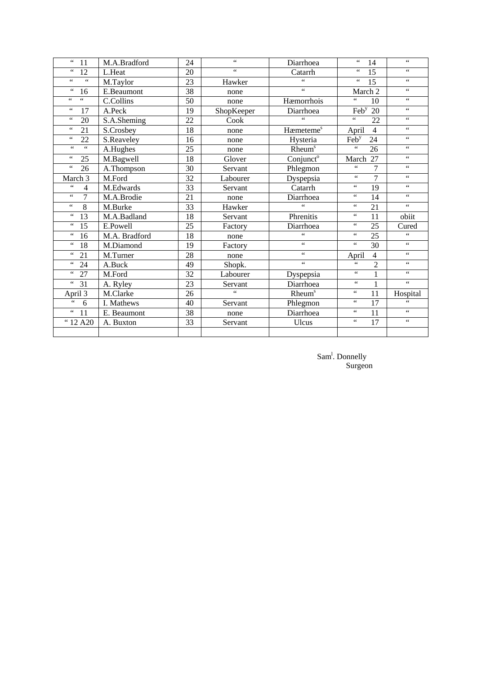| $\zeta$ $\zeta$<br>11              | M.A.Bradford  | 24              | $\zeta$ $\zeta$                       | Diarrhoea                             | $\zeta$ $\zeta$<br>14           | $\zeta\,\zeta$  |
|------------------------------------|---------------|-----------------|---------------------------------------|---------------------------------------|---------------------------------|-----------------|
| $\,6\,6\,$<br>12                   | L.Heat        | 20              | $\overline{\mathfrak{c}\mathfrak{c}}$ | Catarrh                               | $\epsilon\,\epsilon$<br>15      | $\epsilon$      |
| $\zeta$ $\zeta$<br>$\epsilon$      | M.Taylor      | 23              | Hawker                                | $\zeta$ $\zeta$                       | $\zeta$ $\zeta$<br>15           | $\zeta$ $\zeta$ |
| $\zeta$ $\zeta$<br>16              | E.Beaumont    | $\overline{38}$ | none                                  | $\epsilon$                            | March 2                         | $\epsilon$      |
| $\zeta$ $\zeta$<br>$\zeta$ $\zeta$ | C.Collins     | 50              | none                                  | Hæmorrhois                            | $\zeta$ $\zeta$<br>10           | $\zeta$ $\zeta$ |
| $\zeta$ $\zeta$<br>17              | A.Peck        | 19              | ShopKeeper                            | Diarrhoea                             | $\text{Feb}^y$<br>$20\,$        | $\zeta$ $\zeta$ |
| $\zeta$ $\zeta$<br>20              | S.A.Sheming   | $\overline{22}$ | Cook                                  | $\epsilon$                            | $\epsilon\,\epsilon$<br>22      | $\epsilon$      |
| $\,6\,6\,$<br>21                   | S.Crosbey     | 18              | none                                  | Hæmeteme <sup>s</sup>                 | April<br>$\overline{4}$         | $\zeta$ $\zeta$ |
| $\zeta$ $\zeta$<br>22              | S.Reaveley    | 16              | none                                  | Hysteria                              | 24<br>Feb <sup>y</sup>          | $\zeta$ $\zeta$ |
| $\overline{66}$<br>$\zeta\,\zeta$  | A.Hughes      | $\overline{25}$ | none                                  | Rheum <sup>s</sup>                    | $\overline{\mathbf{G}}$<br>26   | $\epsilon$      |
| $\zeta$ $\zeta$<br>25              | M.Bagwell     | 18              | Glover                                | Conjunct <sup>o</sup>                 | March 27                        | $\zeta$ $\zeta$ |
| $\zeta$ $\zeta$<br>26              | A.Thompson    | 30              | Servant                               | Phlegmon                              | $\zeta$ $\zeta$<br>7            | $\zeta$ $\zeta$ |
| March 3                            | M.Ford        | 32              | Labourer                              | Dyspepsia                             | $\overline{7}$<br>$\leq$ $\leq$ | $\zeta\,\zeta$  |
| $\zeta$ $\zeta$<br>4               | M.Edwards     | 33              | Servant                               | Catarrh                               | $\zeta$ $\zeta$<br>19           | $\zeta\,\zeta$  |
| $\epsilon$<br>$\overline{7}$       | M.A.Brodie    | 21              | none                                  | Diarrhoea                             | $\epsilon$<br>14                | $\zeta$ $\zeta$ |
| $\zeta$ $\zeta$<br>$\overline{8}$  | M.Burke       | 33              | Hawker                                | $\epsilon$                            | $\epsilon$<br>21                | $\epsilon$      |
| $\leq \leq$<br>13                  | M.A.Badland   | 18              | Servant                               | Phrenitis                             | $\epsilon$<br>11                | obiit           |
| $\zeta$ $\zeta$<br>15              | E.Powell      | 25              | Factory                               | Diarrhoea                             | $\epsilon$<br>25                | Cured           |
| $\leq \leq$<br>16                  | M.A. Bradford | 18              | none                                  | $\epsilon$ $\epsilon$                 | $\epsilon$<br>25                | $\epsilon$      |
| $\leq \leq$<br>18                  | M.Diamond     | 19              | Factory                               | $\overline{\mathfrak{c}\mathfrak{c}}$ | $\zeta$ $\zeta$<br>30           | $\zeta$ $\zeta$ |
| $\leq \leq$<br>21                  | M.Turner      | 28              | none                                  | $\zeta\,\zeta$                        | $\overline{4}$<br>April         | $\zeta$ $\zeta$ |
| $\zeta$ $\zeta$<br>24              | A.Buck        | 49              | Shopk.                                | $\overline{\mathcal{L}}$              | $\overline{2}$<br>$\epsilon$    | $\zeta\,\zeta$  |
| $\,6\,6\,$<br>$27\,$               | M.Ford        | 32              | Labourer                              | Dyspepsia                             | $\zeta$ $\zeta$<br>$\mathbf{1}$ | $\zeta$ $\zeta$ |
| $\zeta\,\zeta$<br>31               | A. Ryley      | 23              | Servant                               | Diarrhoea                             | 66<br>$\mathbf{1}$              | $\zeta\,\zeta$  |
| April 3                            | M.Clarke      | 26              | $\epsilon$                            | Rheum <sup>s</sup>                    | $\epsilon$<br>11                | Hospital        |
| $\zeta\,\zeta$<br>6                | I. Mathews    | 40              | Servant                               | Phlegmon                              | $\epsilon$<br>17                | 66              |
| $\zeta\,\zeta$<br>11               | E. Beaumont   | 38              | none                                  | Diarrhoea                             | $\epsilon$<br>11                | $\zeta$ $\zeta$ |
| $\frac{1}{12}$ A20                 | A. Buxton     | 33              | Servant                               | Ulcus                                 | $\epsilon$<br>$\overline{17}$   | $\epsilon$      |
|                                    |               |                 |                                       |                                       |                                 |                 |

 $Sam<sup>1</sup>$ . Donnelly **Surgeon** Surgeon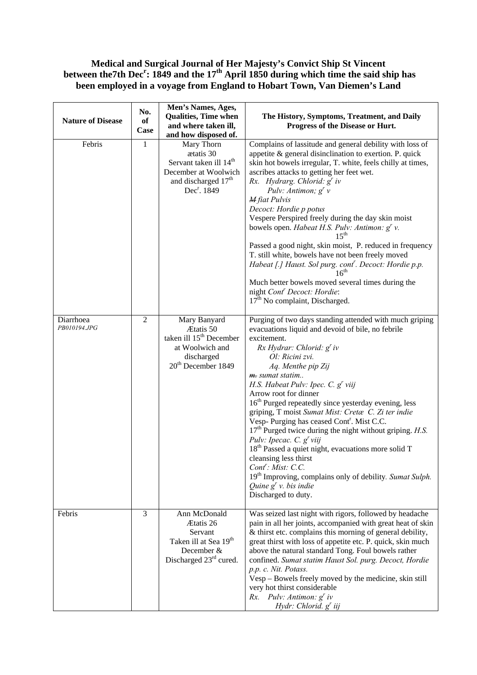## **Medical and Surgical Journal of Her Majesty's Convict Ship St Vincent**  between the7th Dec<sup>r</sup>: 1849 and the 17<sup>th</sup> April 1850 during which time the said ship has **been employed in a voyage from England to Hobart Town, Van Diemen's Land**

| <b>Nature of Disease</b>  | No.<br>of<br>Case | Men's Names, Ages,<br><b>Qualities, Time when</b><br>and where taken ill,<br>and how disposed of.                                                   | The History, Symptoms, Treatment, and Daily<br>Progress of the Disease or Hurt.                                                                                                                                                                                                                                                                                                                                                                                                                                                                                                                                                                                                                                                                                                                                          |  |  |
|---------------------------|-------------------|-----------------------------------------------------------------------------------------------------------------------------------------------------|--------------------------------------------------------------------------------------------------------------------------------------------------------------------------------------------------------------------------------------------------------------------------------------------------------------------------------------------------------------------------------------------------------------------------------------------------------------------------------------------------------------------------------------------------------------------------------------------------------------------------------------------------------------------------------------------------------------------------------------------------------------------------------------------------------------------------|--|--|
| Febris                    | 1                 | Mary Thorn<br>ætatis 30<br>Servant taken ill 14 <sup>th</sup><br>December at Woolwich<br>and discharged 17 <sup>th</sup><br>Dec <sup>r</sup> . 1849 | Complains of lassitude and general debility with loss of<br>appetite $\&$ general disinclination to exertion. P. quick<br>skin hot bowels irregular, T. white, feels chilly at times,<br>ascribes attacks to getting her feet wet.<br>Rx. Hydrarg. Chlorid: g' iv<br>Pulv: Antimon; $g^r v$<br><b>M</b> fiat Pulvis<br>Decoct: Hordie p potus<br>Vespere Perspired freely during the day skin moist<br>bowels open. Habeat H.S. Pulv: Antimon: g' v.<br>$15^{\text{th}}$<br>Passed a good night, skin moist, P. reduced in frequency<br>T. still white, bowels have not been freely moved<br>Habeat [.] Haust. Sol purg. cont <sup>"</sup> . Decoct: Hordie p.p.<br>16 <sup>th</sup><br>Much better bowels moved several times during the<br>night Cont <sup>r</sup> Decoct: Hordie:<br>$17th$ No complaint, Discharged. |  |  |
| Diarrhoea<br>PB010194.JPG | $\overline{2}$    | Mary Banyard<br>Ætatis 50<br>taken ill 15 <sup>th</sup> December<br>at Woolwich and<br>discharged<br>20 <sup>th</sup> December 1849                 | Purging of two days standing attended with much griping<br>evacuations liquid and devoid of bile, no febrile<br>excitement.<br>$Rx$ Hydrar: Chlorid: $g'$ iv<br>Ol: Ricini zvi.<br>Aq. Menthe pip Zij<br>m. sumat statim<br>H.S. Habeat Pulv: Ipec. C. g' viij<br>Arrow root for dinner<br>16 <sup>th</sup> Purged repeatedly since yesterday evening, less<br>griping, T moist Sumat Mist: Cretæ C. Zi ter indie<br>Vesp- Purging has ceased Cont <sup>r</sup> . Mist C.C.<br>$17th$ Purged twice during the night without griping. H.S.<br>Pulv: Ipecac. C. $g'$ viij<br>18 <sup>th</sup> Passed a quiet night, evacuations more solid T<br>cleansing less thirst<br>$Cont$ : Mist: C.C.<br>19 <sup>th</sup> Improving, complains only of debility. Sumat Sulph.<br>Quine $g'$ v. bis indie<br>Discharged to duty.     |  |  |
| Febris                    | 3                 | Ann McDonald<br>Ætatis 26<br>Servant<br>Taken ill at Sea 19 <sup>th</sup><br>December &<br>Discharged 23rd cured.                                   | Was seized last night with rigors, followed by headache<br>pain in all her joints, accompanied with great heat of skin<br>& thirst etc. complains this morning of general debility,<br>great thirst with loss of appetite etc. P. quick, skin much<br>above the natural standard Tong. Foul bowels rather<br>confined. Sumat statim Haust Sol. purg. Decoct, Hordie<br>p.p. c. Nit. Potass.<br>Vesp – Bowels freely moved by the medicine, skin still<br>very hot thirst considerable<br>Rx. Pulv: Antimon: $g^r$ iv<br>Hydr: Chlorid. g' iij                                                                                                                                                                                                                                                                            |  |  |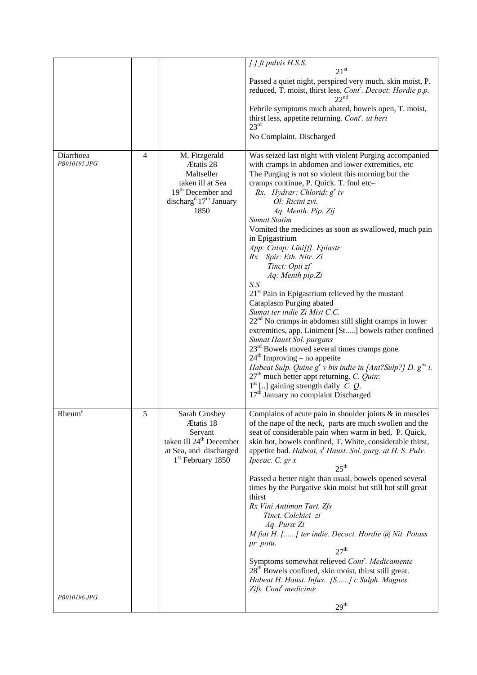|                                           |                |                                                                                                                                                         | $[.]$ ft pulvis H.S.S.<br>$21^{st}$<br>Passed a quiet night, perspired very much, skin moist, P.<br>reduced, T. moist, thirst less, Cont'. Decoct: Hordie p.p.<br>$22^{\text{nd}}$<br>Febrile symptoms much abated, bowels open, T. moist,<br>thirst less, appetite returning. Cont <sup>r</sup> . ut heri<br>23 <sup>rd</sup><br>No Complaint, Discharged                                                                                                                                                                                                                                                                                                                                                                                                                                                                                                                                                                                                                                                                                                                                            |
|-------------------------------------------|----------------|---------------------------------------------------------------------------------------------------------------------------------------------------------|-------------------------------------------------------------------------------------------------------------------------------------------------------------------------------------------------------------------------------------------------------------------------------------------------------------------------------------------------------------------------------------------------------------------------------------------------------------------------------------------------------------------------------------------------------------------------------------------------------------------------------------------------------------------------------------------------------------------------------------------------------------------------------------------------------------------------------------------------------------------------------------------------------------------------------------------------------------------------------------------------------------------------------------------------------------------------------------------------------|
| Diarrhoea<br>PB010195.JPG                 | $\overline{4}$ | M. Fitzgerald<br>Ætatis 28<br>Maltseller<br>taken ill at Sea<br>19 <sup>th</sup> December and<br>discharg <sup>d</sup> 17 <sup>th</sup> January<br>1850 | Was seized last night with violent Purging accompanied<br>with cramps in abdomen and lower extremities, etc<br>The Purging is not so violent this morning but the<br>cramps continue, P. Quick. T. foul etc-<br>Rx. Hydrar: Chlorid: $g'$ iv<br>Ol: Ricini zvi.<br>Aq. Menth. Pip. Zij<br><b>Sumat Statim</b><br>Vomited the medicines as soon as swallowed, much pain<br>in Epigastrium<br>App: Catap: Lini[f]. Epiastr:<br>Rx Spir: Eth. Nitr. Zi<br>Tinct: Opii zf<br>Aq: Menth pip.Zi<br>S.S.<br>$21st$ Pain in Epigastrium relieved by the mustard<br>Cataplasm Purging abated<br>Sumat ter indie Zi Mist C.C.<br>22 <sup>nd</sup> No cramps in abdomen still slight cramps in lower<br>extremities, app. Liniment [St] bowels rather confined<br>Sumat Haust Sol. purgans<br>$23rd$ Bowels moved several times cramps gone<br>$24th$ Improving – no appetite<br>Habeat Sulp. Quine $g^r v$ bis indie in [Ant?Sulp?] D. $g^{tts}$ i.<br>$27th$ much better appt returning. C. Quin:<br>$1st$ [] gaining strength daily <i>C</i> . <i>Q</i> .<br>17 <sup>th</sup> January no complaint Discharged |
| <b>Rheum</b> <sup>s</sup><br>PB010196.JPG | 5              | Sarah Crosbey<br>Ætatis 18<br>Servant<br>taken ill 24 <sup>th</sup> December<br>at Sea, and discharged<br>$1st$ February 1850                           | Complains of acute pain in shoulder joints $\&$ in muscles<br>of the nape of the neck, parts are much swollen and the<br>seat of considerable pain when warm in bed, P. Quick,<br>skin hot, bowels confined, T. White, considerable thirst,<br>appetite bad. Habeat, s' Haust. Sol. purg. at H. S. Pulv.<br>Ipecac. C. $gr x$<br>$25^{\text{th}}$<br>Passed a better night than usual, bowels opened several<br>times by the Purgative skin moist but still hot still great<br>thirst<br>Rx Vini Antimon Tart. Zfs<br>Tinct. Colchici zi<br>Aq. Puræ Zi<br>M fiat H. [] ter indie. Decoct. Hordie @ Nit. Potass<br>pr potu.<br>27 <sup>th</sup><br>Symptoms somewhat relieved Cont <sup>'</sup> . Medicamente<br>28 <sup>th</sup> Bowels confined, skin moist, thirst still great.<br>Habeat H. Haust. Infus. [S] c Sulph. Magnes<br>Zifs. Cont' medicinæ<br>29 <sup>th</sup>                                                                                                                                                                                                                         |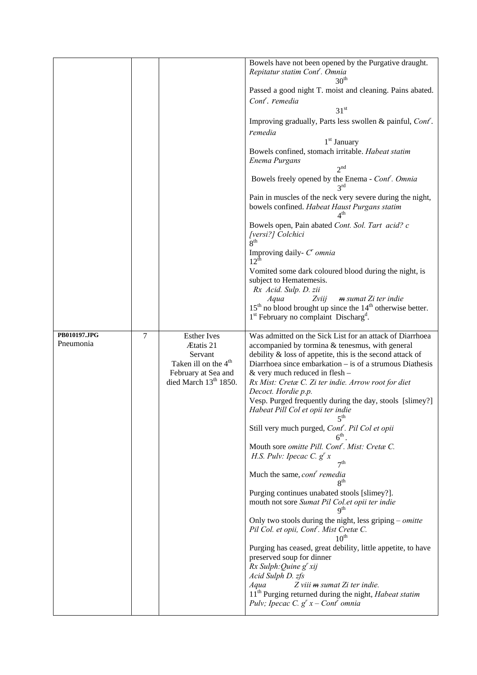|                           |        |                                                         | Bowels have not been opened by the Purgative draught.<br>Repitatur statim Cont <sup>r</sup> . Omnia                          |
|---------------------------|--------|---------------------------------------------------------|------------------------------------------------------------------------------------------------------------------------------|
|                           |        |                                                         | 30 <sup>m</sup>                                                                                                              |
|                           |        |                                                         | Passed a good night T. moist and cleaning. Pains abated.<br>Cont <sup>r</sup> . remedia                                      |
|                           |        |                                                         | 31 <sup>st</sup>                                                                                                             |
|                           |        |                                                         | Improving gradually, Parts less swollen & painful, Cont'.<br>remedia                                                         |
|                           |        |                                                         | $1st$ January                                                                                                                |
|                           |        |                                                         | Bowels confined, stomach irritable. Habeat statim<br>Enema Purgans                                                           |
|                           |        |                                                         | $2^{nd}$                                                                                                                     |
|                           |        |                                                         | Bowels freely opened by the Enema - Cont <sup>r</sup> . Omnia<br>$2^{\text{rd}}$                                             |
|                           |        |                                                         | Pain in muscles of the neck very severe during the night,<br>bowels confined. Habeat Haust Purgans statim<br>4 <sup>th</sup> |
|                           |        |                                                         | Bowels open, Pain abated Cont. Sol. Tart acid? c<br>[versi?] Colchici<br>$\mathbf{R}^{\text{th}}$                            |
|                           |        |                                                         | Improving daily- $C^r$ omnia<br>$12^{\text{th}}$                                                                             |
|                           |        |                                                         | Vomited some dark coloured blood during the night, is<br>subject to Hematemesis.<br>Rx Acid. Sulp. D. zii                    |
|                           |        |                                                         | Zviij<br>m sumat Zi ter indie<br>Aqua<br>$15th$ no blood brought up since the $14th$ otherwise better.                       |
|                           |        |                                                         | 1 <sup>st</sup> February no complaint Discharg <sup>d</sup> .                                                                |
| PB010197.JPG<br>Pneumonia | $\tau$ | <b>Esther Ives</b>                                      | Was admitted on the Sick List for an attack of Diarrhoea                                                                     |
|                           |        | Ætatis 21<br>Servant                                    | accompanied by tormina & tenesmus, with general<br>debility $\&$ loss of appetite, this is the second attack of              |
|                           |        | Taken ill on the 4 <sup>th</sup><br>February at Sea and | Diarrhoea since embarkation – is of a strumous Diathesis<br>$&$ very much reduced in flesh –                                 |
|                           |        | died March 13 <sup>th</sup> 1850.                       | Rx Mist: Cretæ C. Zi ter indie. Arrow root for diet                                                                          |
|                           |        |                                                         | Decoct. Hordie p.p.<br>Vesp. Purged frequently during the day, stools [slimey?]                                              |
|                           |        |                                                         | Habeat Pill Col et opii ter indie<br>$5^{\text{th}}$                                                                         |
|                           |        |                                                         | Still very much purged, Cont <sup>r</sup> . Pil Col et opii<br>$6^{\text{th}}$                                               |
|                           |        |                                                         | Mouth sore omitte Pill. Cont <sup>r</sup> . Mist: Cretæ C.<br>H.S. Pulv: Ipecac C. $g^{r} x$                                 |
|                           |        |                                                         | 7 <sup>th</sup><br>Much the same, cont remedia<br>8 <sup>th</sup>                                                            |
|                           |        |                                                         | Purging continues unabated stools [slimey?].<br>mouth not sore Sumat Pil Col.et opii ter indie<br>9 <sup>th</sup>            |
|                           |        |                                                         | Only two stools during the night, less griping $-$ omitte<br>Pil Col. et opii, Cont'. Mist Cretæ C.<br>10 <sup>th</sup>      |
|                           |        |                                                         | Purging has ceased, great debility, little appetite, to have<br>preserved soup for dinner                                    |
|                           |        |                                                         | $Rx$ Sulph: Quine $g'$ xij                                                                                                   |
|                           |        |                                                         | Acid Sulph D. zfs<br>Aqua<br>Z viii m sumat Zi ter indie.                                                                    |
|                           |        |                                                         | 11 <sup>th</sup> Purging returned during the night, <i>Habeat statim</i>                                                     |
|                           |        |                                                         | Pulv; Ipecac C. $g' x$ – Cont omnia                                                                                          |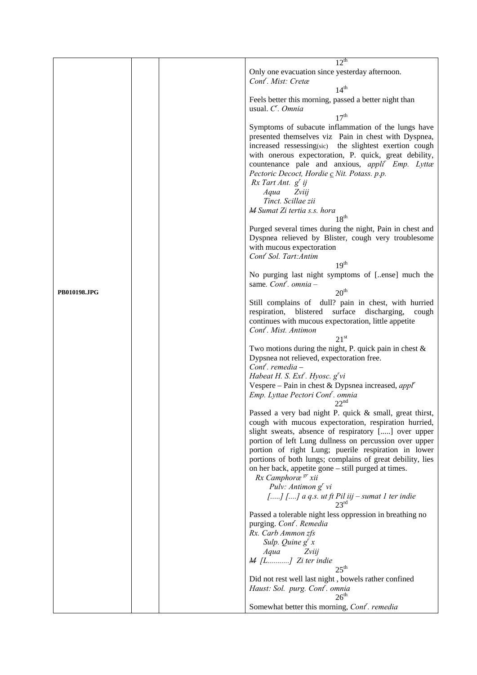|              |  | $12^{th}$                                                                                                    |
|--------------|--|--------------------------------------------------------------------------------------------------------------|
|              |  | Only one evacuation since yesterday afternoon.                                                               |
|              |  | Cont <sup>'</sup> . Mist: Cretæ                                                                              |
|              |  | 14 <sup>th</sup>                                                                                             |
|              |  | Feels better this morning, passed a better night than                                                        |
|              |  | usual. C'. Omnia                                                                                             |
|              |  | 17 <sup>th</sup>                                                                                             |
|              |  | Symptoms of subacute inflammation of the lungs have                                                          |
|              |  | presented themselves viz Pain in chest with Dyspnea,                                                         |
|              |  | increased ressessing(sic) the slightest exertion cough                                                       |
|              |  | with onerous expectoration, P. quick, great debility,                                                        |
|              |  | countenance pale and anxious, appli <sup>r</sup> Emp. Lyttæ                                                  |
|              |  | Pectoric Decoct, Hordie c Nit. Potass. p.p.                                                                  |
|              |  | $Rx$ Tart Ant. $g'$ ij<br>Aqua<br>Zviij                                                                      |
|              |  | Tinct. Scillae zii                                                                                           |
|              |  | M Sumat Zi tertia s.s. hora                                                                                  |
|              |  | $18^{th}$                                                                                                    |
|              |  | Purged several times during the night, Pain in chest and                                                     |
|              |  | Dyspnea relieved by Blister, cough very troublesome                                                          |
|              |  | with mucous expectoration                                                                                    |
|              |  | Cont <sup>'</sup> Sol. Tart: Antim                                                                           |
|              |  | 19 <sup>th</sup>                                                                                             |
|              |  | No purging last night symptoms of [ense] much the                                                            |
|              |  | same. Cont <sup>r</sup> . omnia –                                                                            |
| PB010198.JPG |  | 20 <sup>th</sup>                                                                                             |
|              |  | Still complains of dull? pain in chest, with hurried<br>respiration, blistered surface discharging,<br>cough |
|              |  | continues with mucous expectoration, little appetite                                                         |
|              |  | Cont <sup>r</sup> . Mist. Antimon                                                                            |
|              |  | 21 <sup>st</sup>                                                                                             |
|              |  | Two motions during the night, P. quick pain in chest $\&$                                                    |
|              |  | Dypsnea not relieved, expectoration free.                                                                    |
|              |  | $Contr$ . remedia –                                                                                          |
|              |  | Habeat H. S. Ext'. Hyosc. g'vi                                                                               |
|              |  | Vespere – Pain in chest & Dypsnea increased, $app^r$                                                         |
|              |  | Emp. Lyttae Pectori Cont'. omnia<br>22 <sup>nd</sup>                                                         |
|              |  | Passed a very bad night P. quick & small, great thirst,                                                      |
|              |  | cough with mucous expectoration, respiration hurried,                                                        |
|              |  | slight sweats, absence of respiratory [] over upper                                                          |
|              |  | portion of left Lung dullness on percussion over upper                                                       |
|              |  | portion of right Lung; puerile respiration in lower                                                          |
|              |  | portions of both lungs; complains of great debility, lies                                                    |
|              |  | on her back, appetite gone – still purged at times.                                                          |
|              |  | Rx Camphoræ <sup>gr</sup> xii                                                                                |
|              |  | Pulv: Antimon $g^{r}$ vi                                                                                     |
|              |  | [] [] a q.s. ut ft Pil iij – sumat 1 ter indie $23^{\text{rd}}$                                              |
|              |  |                                                                                                              |
|              |  | Passed a tolerable night less oppression in breathing no<br>purging. Cont <sup>r</sup> . Remedia             |
|              |  | Rx. Carb Ammon zfs                                                                                           |
|              |  | Sulp. Quine $g^r x$                                                                                          |
|              |  | Aqua<br>Zviij                                                                                                |
|              |  | $M$ [L] Zi ter indie                                                                                         |
|              |  | $25^{\text{th}}$                                                                                             |
|              |  | Did not rest well last night, bowels rather confined                                                         |
|              |  | Haust: Sol. purg. Cont <sup>r</sup> . omnia                                                                  |
|              |  | 26 <sup>th</sup>                                                                                             |
|              |  | Somewhat better this morning, Cont <sup>r</sup> . remedia                                                    |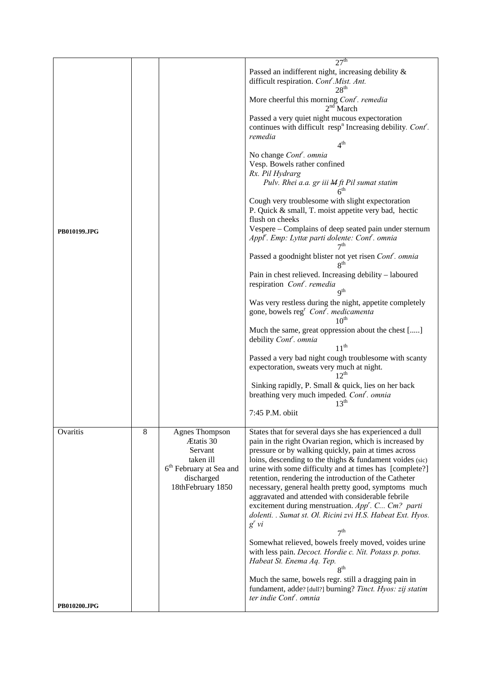|              |   |                                                   | 27 <sup>th</sup>                                                                                                                                                           |
|--------------|---|---------------------------------------------------|----------------------------------------------------------------------------------------------------------------------------------------------------------------------------|
|              |   |                                                   | Passed an indifferent night, increasing debility &<br>difficult respiration. Cont <sup>'</sup> .Mist. Ant.                                                                 |
|              |   |                                                   | 28 <sup>th</sup><br>More cheerful this morning Cont <sup>"</sup> . remedia<br>$2nd$ March                                                                                  |
|              |   |                                                   | Passed a very quiet night mucous expectoration<br>continues with difficult resp <sup>n</sup> Increasing debility. Cont <sup>r</sup> .<br>remedia                           |
|              |   |                                                   | 4 <sup>th</sup>                                                                                                                                                            |
|              |   |                                                   | No change Cont <sup>r</sup> . omnia<br>Vesp. Bowels rather confined<br>Rx. Pil Hydrarg                                                                                     |
|              |   |                                                   | Pulv. Rhei a.a. gr iii M ft Pil sumat statim<br>6 <sup>th</sup>                                                                                                            |
|              |   |                                                   | Cough very troublesome with slight expectoration<br>P. Quick & small, T. moist appetite very bad, hectic<br>flush on cheeks                                                |
| PB010199.JPG |   |                                                   | Vespere – Complains of deep seated pain under sternum<br>Appl'. Emp: Lyttæ parti dolente: Cont'. omnia<br>$\tau$ th                                                        |
|              |   |                                                   | Passed a goodnight blister not yet risen Cont'. omnia<br>8 <sup>th</sup>                                                                                                   |
|              |   |                                                   | Pain in chest relieved. Increasing debility - laboured<br>respiration Cont <sup>r</sup> . remedia<br>q <sup>th</sup>                                                       |
|              |   |                                                   | Was very restless during the night, appetite completely<br>gone, bowels $regr$ Cont <sup>r</sup> . medicamenta<br>$10^{\text{th}}$                                         |
|              |   |                                                   | Much the same, great oppression about the chest []<br>debility Cont <sup>r</sup> . omnia<br>$11^{th}$                                                                      |
|              |   |                                                   | Passed a very bad night cough troublesome with scanty<br>expectoration, sweats very much at night.<br>$12^{th}$                                                            |
|              |   |                                                   | Sinking rapidly, P. Small & quick, lies on her back<br>breathing very much impeded. Cont <sup>'</sup> . omnia<br>$13^{th}$                                                 |
|              |   |                                                   | 7:45 P.M. obiit                                                                                                                                                            |
| Ovaritis     | 8 | <b>Agnes Thompson</b><br>Ætatis 30<br>Servant     | States that for several days she has experienced a dull<br>pain in the right Ovarian region, which is increased by<br>pressure or by walking quickly, pain at times across |
|              |   | taken ill                                         | loins, descending to the thighs & fundament voides (sic)                                                                                                                   |
|              |   | 6 <sup>th</sup> February at Sea and<br>discharged | urine with some difficulty and at times has [complete?]<br>retention, rendering the introduction of the Catheter                                                           |
|              |   | 18thFebruary 1850                                 | necessary, general health pretty good, symptoms much                                                                                                                       |
|              |   |                                                   | aggravated and attended with considerable febrile                                                                                                                          |
|              |   |                                                   | excitement during menstruation. $Appr$ . C Cm? parti<br>dolenti. . Sumat st. Ol. Ricini zvi H.S. Habeat Ext. Hyos.                                                         |
|              |   |                                                   | $g'$ vi<br>7 <sup>th</sup>                                                                                                                                                 |
|              |   |                                                   | Somewhat relieved, bowels freely moved, voides urine                                                                                                                       |
|              |   |                                                   | with less pain. Decoct. Hordie c. Nit. Potass p. potus.<br>Habeat St. Enema Aq. Tep.<br>$\mathbf{R}^{\text{th}}$                                                           |
|              |   |                                                   | Much the same, bowels regr. still a dragging pain in<br>fundament, adde? [dull?] burning? Tinct. Hyos: zij statim                                                          |
| PB010200.JPG |   |                                                   | ter indie Cont <sup>r</sup> . omnia                                                                                                                                        |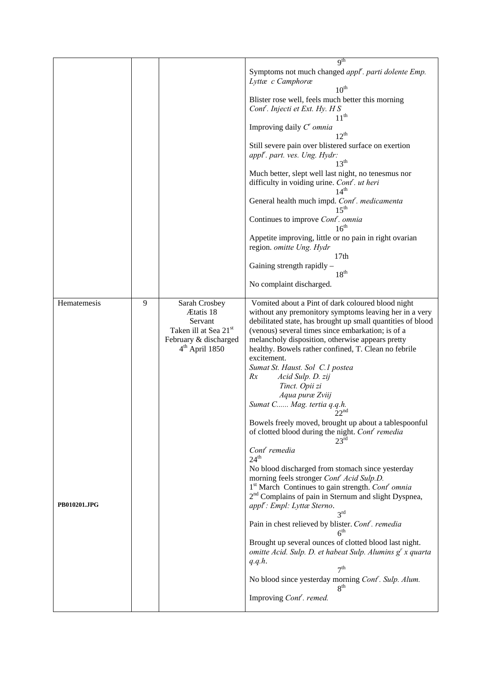|              |   |                                              | 9 <sup>th</sup>                                                                                                       |
|--------------|---|----------------------------------------------|-----------------------------------------------------------------------------------------------------------------------|
|              |   |                                              | Symptoms not much changed appl <sup>r</sup> . parti dolente Emp.<br>Lyttæ c Camphoræ                                  |
|              |   |                                              | $10^{\text{th}}$                                                                                                      |
|              |   |                                              | Blister rose well, feels much better this morning                                                                     |
|              |   |                                              | Cont <sup>r</sup> . Injecti et Ext. Hy. H S<br>$11^{th}$                                                              |
|              |   |                                              |                                                                                                                       |
|              |   |                                              | Improving daily $C^r$ omnia<br>$12^{th}$                                                                              |
|              |   |                                              | Still severe pain over blistered surface on exertion                                                                  |
|              |   |                                              | appl'. part. ves. Ung. Hydr:                                                                                          |
|              |   |                                              | 13 <sup>th</sup>                                                                                                      |
|              |   |                                              | Much better, slept well last night, no tenesmus nor                                                                   |
|              |   |                                              | difficulty in voiding urine. Cont <sup>'</sup> . ut heri                                                              |
|              |   |                                              | 14 <sup>th</sup>                                                                                                      |
|              |   |                                              | General health much impd. Cont'. medicamenta<br>$15^{\text{th}}$                                                      |
|              |   |                                              | Continues to improve Cont <sup>r</sup> . omnia<br>16 <sup>th</sup>                                                    |
|              |   |                                              | Appetite improving, little or no pain in right ovarian<br>region. omitte Ung. Hydr                                    |
|              |   |                                              | 17 <sub>th</sub>                                                                                                      |
|              |   |                                              | Gaining strength rapidly -<br>$18^{th}$                                                                               |
|              |   |                                              | No complaint discharged.                                                                                              |
| Hematemesis  | 9 | Sarah Crosbey                                | Vomited about a Pint of dark coloured blood night                                                                     |
|              |   | Ætatis 18                                    | without any premonitory symptoms leaving her in a very                                                                |
|              |   | Servant<br>Taken ill at Sea 21 <sup>st</sup> | debilitated state, has brought up small quantities of blood<br>(venous) several times since embarkation; is of a      |
|              |   | February & discharged                        | melancholy disposition, otherwise appears pretty                                                                      |
|              |   | $4th$ April 1850                             | healthy. Bowels rather confined, T. Clean no febrile                                                                  |
|              |   |                                              | excitement.                                                                                                           |
|              |   |                                              | Sumat St. Haust. Sol C.1 postea                                                                                       |
|              |   |                                              | Acid Sulp. D. zij<br>Rx                                                                                               |
|              |   |                                              | Tinct. Opii zi                                                                                                        |
|              |   |                                              | Aqua puræ Zviij                                                                                                       |
|              |   |                                              | Sumat C Mag. tertia q.q.h.                                                                                            |
|              |   |                                              | $22^{nd}$                                                                                                             |
|              |   |                                              | Bowels freely moved, brought up about a tablespoonful<br>of clotted blood during the night. Cont <sup>r</sup> remedia |
|              |   |                                              | $23^{\rm rd}$<br>Cont <sup>r</sup> remedia                                                                            |
|              |   |                                              | $24^{\text{th}}$                                                                                                      |
|              |   |                                              | No blood discharged from stomach since yesterday<br>morning feels stronger Cont <sup>r</sup> Acid Sulp.D.             |
|              |   |                                              | 1 <sup>st</sup> March Continues to gain strength. Cont <sup>r</sup> omnia                                             |
|              |   |                                              | 2 <sup>nd</sup> Complains of pain in Sternum and slight Dyspnea,                                                      |
| PB010201.JPG |   |                                              | appl': Empl: Lyttæ Sterno.                                                                                            |
|              |   |                                              | $3^{\text{rd}}$                                                                                                       |
|              |   |                                              | Pain in chest relieved by blister. Cont'. remedia<br>6 <sup>th</sup>                                                  |
|              |   |                                              | Brought up several ounces of clotted blood last night.                                                                |
|              |   |                                              | omitte Acid. Sulp. D. et habeat Sulp. Alumins $g^{r}$ x quarta                                                        |
|              |   |                                              | q.q.h.                                                                                                                |
|              |   |                                              | 7 <sup>th</sup>                                                                                                       |
|              |   |                                              | No blood since yesterday morning <i>Cont'</i> . Sulp. Alum.<br>8 <sup>th</sup>                                        |
|              |   |                                              | Improving Cont <sup>'</sup> . remed.                                                                                  |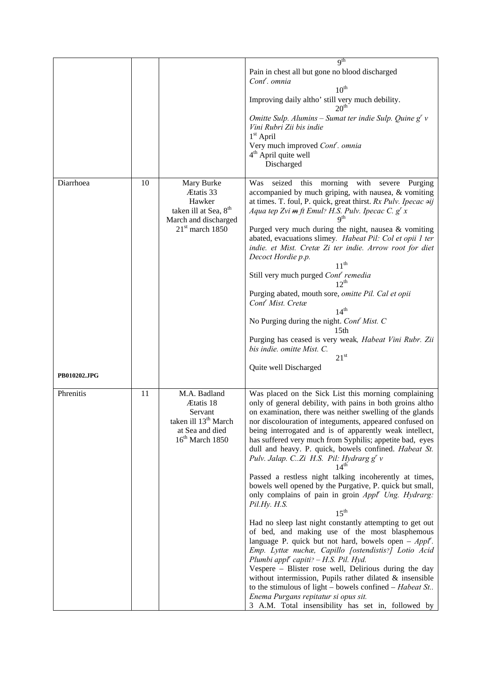|              |    |                                                                                                                     | q <sup>th</sup>                                                                                                                                                                                                                                                                                                                                                                                                                                                                                                                                                                                                                                                                                                                                                                                                                                                                                                                                                                                                                                                                                                                                                                                                                                                      |
|--------------|----|---------------------------------------------------------------------------------------------------------------------|----------------------------------------------------------------------------------------------------------------------------------------------------------------------------------------------------------------------------------------------------------------------------------------------------------------------------------------------------------------------------------------------------------------------------------------------------------------------------------------------------------------------------------------------------------------------------------------------------------------------------------------------------------------------------------------------------------------------------------------------------------------------------------------------------------------------------------------------------------------------------------------------------------------------------------------------------------------------------------------------------------------------------------------------------------------------------------------------------------------------------------------------------------------------------------------------------------------------------------------------------------------------|
|              |    |                                                                                                                     | Pain in chest all but gone no blood discharged<br>Cont <sup>r</sup> . omnia<br>$10^{th}$<br>Improving daily altho' still very much debility.<br>$20^{\text{th}}$<br>Omitte Sulp. Alumins – Sumat ter indie Sulp. Quine $g^{r}v$<br>Vini Rubri Zii bis indie<br>$1st$ April<br>Very much improved Cont <sup>r</sup> . omnia                                                                                                                                                                                                                                                                                                                                                                                                                                                                                                                                                                                                                                                                                                                                                                                                                                                                                                                                           |
|              |    |                                                                                                                     | 4 <sup>th</sup> April quite well<br>Discharged                                                                                                                                                                                                                                                                                                                                                                                                                                                                                                                                                                                                                                                                                                                                                                                                                                                                                                                                                                                                                                                                                                                                                                                                                       |
| Diarrhoea    | 10 | Mary Burke<br>Ætatis 33<br>Hawker<br>taken ill at Sea, 8 <sup>th</sup><br>March and discharged<br>$21st$ march 1850 | seized this morning with<br>Was<br>severe<br>Purging<br>accompanied by much griping, with nausea, & vomiting<br>at times. T. foul, P. quick, great thirst. Rx Pulv. Ipecac $\rightarrow ij$<br>Aqua tep Zvi m ft Emul? H.S. Pulv. Ipecac C. $g^{r} x$<br>q <sup>th</sup><br>Purged very much during the night, nausea & vomiting<br>abated, evacuations slimey. Habeat Pil: Col et opii 1 ter<br>indie. et Mist. Cretæ Zi ter indie. Arrow root for diet<br>Decoct Hordie p.p.<br>11 <sup>th</sup><br>Still very much purged Cont <sup>r</sup> remedia<br>$12^{th}$<br>Purging abated, mouth sore, omitte Pil. Cal et opii<br>Cont <sup>'</sup> Mist. Cretæ<br>14 <sup>th</sup><br>No Purging during the night. Cont Mist. C<br>15 <sub>th</sub><br>Purging has ceased is very weak, Habeat Vini Rubr. Zii<br>bis indie. omitte Mist. C.<br>$21^{st}$                                                                                                                                                                                                                                                                                                                                                                                                                |
| PB010202.JPG |    |                                                                                                                     | Quite well Discharged                                                                                                                                                                                                                                                                                                                                                                                                                                                                                                                                                                                                                                                                                                                                                                                                                                                                                                                                                                                                                                                                                                                                                                                                                                                |
| Phrenitis    | 11 | M.A. Badland<br>Ætatis 18<br>Servant<br>taken ill 13 <sup>th</sup> March<br>at Sea and died<br>$16th$ March 1850    | Was placed on the Sick List this morning complaining<br>only of general debility, with pains in both groins altho<br>on examination, there was neither swelling of the glands<br>nor discolouration of integuments, appeared confused on<br>being interrogated and is of apparently weak intellect,<br>has suffered very much from Syphilis; appetite bad, eyes<br>dull and heavy. P. quick, bowels confined. Habeat St.<br>Pulv. Jalap. CZi H.S. Pil: Hydrarg $gr$ v<br>14 <sup>th</sup><br>Passed a restless night talking incoherently at times,<br>bowels well opened by the Purgative, P. quick but small,<br>only complains of pain in groin Appl' Ung. Hydrarg:<br>Pil.Hy. H.S.<br>15 <sup>th</sup><br>Had no sleep last night constantly attempting to get out<br>of bed, and making use of the most blasphemous<br>language P. quick but not hard, bowels open – $Appl'$ .<br>Emp. Lyttæ nuchæ, Capillo [ostendistis?] Lotio Acid<br>Plumbi appl' capiti? - H.S. Pil. Hyd.<br>Vespere - Blister rose well, Delirious during the day<br>without intermission, Pupils rather dilated $\&$ insensible<br>to the stimulous of light – bowels confined – Habeat St<br>Enema Purgans repitatur si opus sit.<br>3 A.M. Total insensibility has set in, followed by |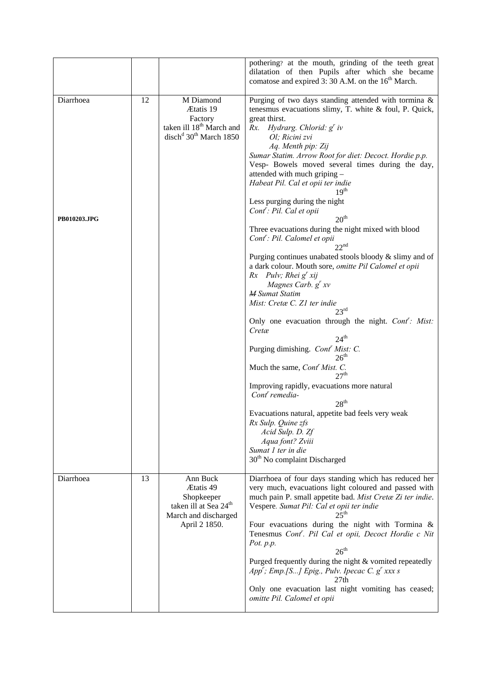|                           |    |                                                                                                                             | pothering? at the mouth, grinding of the teeth great<br>dilatation of then Pupils after which she became<br>comatose and expired 3: 30 A.M. on the 16 <sup>th</sup> March.                                                                                                                                                                                                                                                                                                                                                                                                                                                                                                                                                                                                                                                                                                                                                                                                                                                                                                                                                                                                                                                                                                                                                                                                                                |
|---------------------------|----|-----------------------------------------------------------------------------------------------------------------------------|-----------------------------------------------------------------------------------------------------------------------------------------------------------------------------------------------------------------------------------------------------------------------------------------------------------------------------------------------------------------------------------------------------------------------------------------------------------------------------------------------------------------------------------------------------------------------------------------------------------------------------------------------------------------------------------------------------------------------------------------------------------------------------------------------------------------------------------------------------------------------------------------------------------------------------------------------------------------------------------------------------------------------------------------------------------------------------------------------------------------------------------------------------------------------------------------------------------------------------------------------------------------------------------------------------------------------------------------------------------------------------------------------------------|
| Diarrhoea<br>PB010203.JPG | 12 | M Diamond<br>Ætatis 19<br>Factory<br>taken ill 18 <sup>th</sup> March and<br>disch <sup>d</sup> 30 <sup>th</sup> March 1850 | Purging of two days standing attended with tormina &<br>tenesmus evacuations slimy, T. white $&$ foul, P. Quick,<br>great thirst.<br>Rx. Hydrarg. Chlorid: $g^r$ iv<br>Ol; Ricini zvi<br>Aq. Menth pip: Zij<br>Sumar Statim. Arrow Root for diet: Decoct. Hordie p.p.<br>Vesp- Bowels moved several times during the day,<br>attended with much griping -<br>Habeat Pil. Cal et opii ter indie<br>19 <sup>th</sup><br>Less purging during the night<br>Cont <sup>r</sup> : Pil. Cal et opii<br>20 <sup>th</sup><br>Three evacuations during the night mixed with blood<br>Cont <sup>r</sup> : Pil. Calomel et opii<br>22 <sup>nd</sup><br>Purging continues unabated stools bloody & slimy and of<br>a dark colour. Mouth sore, omitte Pil Calomel et opii<br>$Rx$ Pulv; Rhei $g^r xij$<br>Magnes Carb. g' xv<br><b>M</b> Sumat Statim<br>Mist: Cretæ C. Z1 ter indie<br>$23^{\text{rd}}$<br>Only one evacuation through the night. Cont': Mist:<br>Cretæ<br>24 <sup>th</sup><br>Purging dimishing. Cont <sup>r</sup> Mist: C.<br>26 <sup>th</sup><br>Much the same, Cont <sup>'</sup> Mist. C.<br>27 <sup>th</sup><br>Improving rapidly, evacuations more natural<br>Cont <sup>r</sup> remedia-<br>28 <sup>th</sup><br>Evacuations natural, appetite bad feels very weak<br>Rx Sulp. Quine zfs<br>Acid Sulp. D. Zf<br>Aqua font? Zviii<br>Sumat 1 ter in die<br>30 <sup>th</sup> No complaint Discharged |
| Diarrhoea                 | 13 | Ann Buck<br>Ætatis 49<br>Shopkeeper<br>taken ill at Sea 24 <sup>th</sup><br>March and discharged<br>April 2 1850.           | Diarrhoea of four days standing which has reduced her<br>very much, evacuations light coloured and passed with<br>much pain P. small appetite bad. Mist Cretæ Zi ter indie.<br>Vespere. Sumat Pil: Cal et opii ter indie<br>ንና <sup>th</sup><br>Four evacuations during the night with Tormina &<br>Tenesmus Cont'. Pil Cal et opii, Decoct Hordie c Nit<br>Pot. p.p.<br>$26^{\text{th}}$<br>Purged frequently during the night & vomited repeatedly<br>App'; Emp.[S] Epig., Pulv. Ipecac C. $g^{r}$ xxx s<br>27th<br>Only one evacuation last night vomiting has ceased;<br>omitte Pil. Calomel et opii                                                                                                                                                                                                                                                                                                                                                                                                                                                                                                                                                                                                                                                                                                                                                                                                  |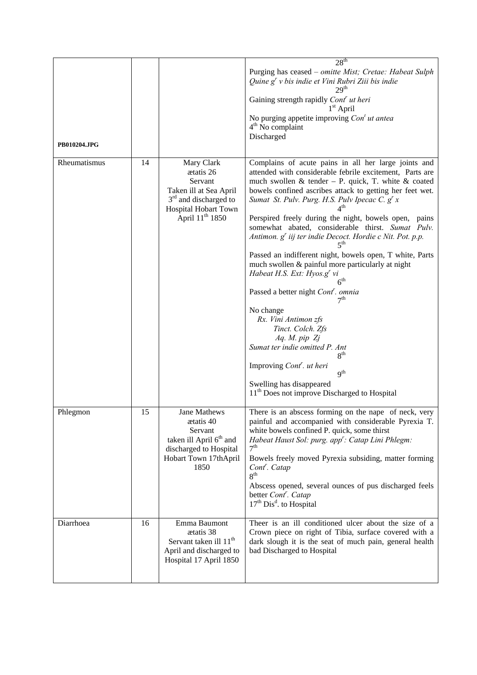|              |    |                                                                                                                                                | 28 <sup>th</sup>                                                                                                                                                                                                                                                                                                                                                                                                                                                                                                                                                                                                                                                                                                                                                                                                                                                                                                                                                                                                                 |
|--------------|----|------------------------------------------------------------------------------------------------------------------------------------------------|----------------------------------------------------------------------------------------------------------------------------------------------------------------------------------------------------------------------------------------------------------------------------------------------------------------------------------------------------------------------------------------------------------------------------------------------------------------------------------------------------------------------------------------------------------------------------------------------------------------------------------------------------------------------------------------------------------------------------------------------------------------------------------------------------------------------------------------------------------------------------------------------------------------------------------------------------------------------------------------------------------------------------------|
| PB010204.JPG |    |                                                                                                                                                | Purging has ceased - omitte Mist; Cretae: Habeat Sulph<br>Quine g' v bis indie et Vini Rubri Ziii bis indie<br>Gaining strength rapidly Cont' ut heri<br>$1st$ April<br>No purging appetite improving $Cont$ ut antea<br>4 <sup>th</sup> No complaint<br>Discharged                                                                                                                                                                                                                                                                                                                                                                                                                                                                                                                                                                                                                                                                                                                                                              |
| Rheumatismus | 14 | Mary Clark<br>ætatis 26<br>Servant<br>Taken ill at Sea April<br>$3rd$ and discharged to<br>Hospital Hobart Town<br>April 11 <sup>th</sup> 1850 | Complains of acute pains in all her large joints and<br>attended with considerable febrile excitement, Parts are<br>much swollen & tender - P. quick, T. white & coated<br>bowels confined ascribes attack to getting her feet wet.<br>Sumat St. Pulv. Purg. H.S. Pulv Ipecac C. $g^{r} x$<br>Perspired freely during the night, bowels open, pains<br>somewhat abated, considerable thirst. Sumat Pulv.<br>Antimon. g <sup>r</sup> iij ter indie Decoct. Hordie c Nit. Pot. p.p.<br>≼տ<br>Passed an indifferent night, bowels open, T white, Parts<br>much swollen & painful more particularly at night<br>Habeat H.S. Ext: $Hyos.gr vi$<br>$\boldsymbol{\kappa}^\text{th}$<br>Passed a better night Cont <sup>r</sup> . omnia<br>7th<br>No change<br>Rx. Vini Antimon zfs<br>Tinct. Colch. Zfs<br>Aq. M. pip Zj<br>Sumat ter indie omitted P. Ant<br>8 <sup>th</sup><br>Improving <i>Cont<sup>r</sup></i> . <i>ut heri</i><br>$q^{th}$<br>Swelling has disappeared<br>11 <sup>th</sup> Does not improve Discharged to Hospital |
| Phlegmon     | 15 | <b>Jane Mathews</b><br>ætatis 40<br>Servant<br>taken ill April 6 <sup>th</sup> and<br>discharged to Hospital<br>Hobart Town 17thApril<br>1850  | There is an abscess forming on the nape of neck, very<br>painful and accompanied with considerable Pyrexia T.<br>white bowels confined P. quick, some thirst<br>Habeat Haust Sol: purg. app <sup>r</sup> : Catap Lini Phlegm:<br>7 <sup>th</sup><br>Bowels freely moved Pyrexia subsiding, matter forming<br>Cont <sup>'</sup> . Catap<br>8 <sup>th</sup><br>Abscess opened, several ounces of pus discharged feels<br>better Cont <sup>r</sup> . Catap<br>$17th$ Dis <sup>d</sup> . to Hospital                                                                                                                                                                                                                                                                                                                                                                                                                                                                                                                                 |
| Diarrhoea    | 16 | Emma Baumont<br>ætatis 38<br>Servant taken ill 11 <sup>th</sup><br>April and discharged to<br>Hospital 17 April 1850                           | Theer is an ill conditioned ulcer about the size of a<br>Crown piece on right of Tibia, surface covered with a<br>dark slough it is the seat of much pain, general health<br>bad Discharged to Hospital                                                                                                                                                                                                                                                                                                                                                                                                                                                                                                                                                                                                                                                                                                                                                                                                                          |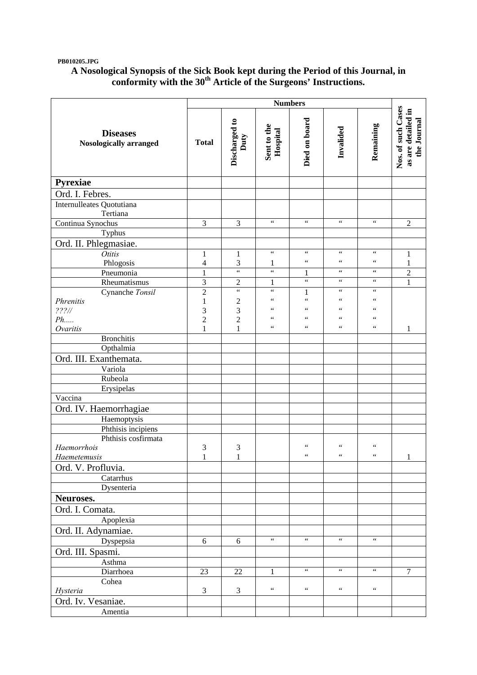### **PB010205.JPG**

## **A Nosological Synopsis of the Sick Book kept during the Period of this Journal, in conformity with the 30th Article of the Surgeons' Instructions.**

|                                                  | <b>Numbers</b>                 |                                |                                            |                                       |                                  |                                   |                                                         |
|--------------------------------------------------|--------------------------------|--------------------------------|--------------------------------------------|---------------------------------------|----------------------------------|-----------------------------------|---------------------------------------------------------|
| <b>Diseases</b><br><b>Nosologically arranged</b> | <b>Total</b>                   | Discharged to<br>Duty          | Sent to the<br>Hospital                    | Died on board                         | Invalided                        | Remaining                         | Nos. of such Cases<br>as are detailed in<br>the Journal |
| Pyrexiae                                         |                                |                                |                                            |                                       |                                  |                                   |                                                         |
| Ord. I. Febres.                                  |                                |                                |                                            |                                       |                                  |                                   |                                                         |
| Internulleates Quotutiana<br>Tertiana            |                                |                                |                                            |                                       |                                  |                                   |                                                         |
| Continua Synochus                                | 3                              | 3                              | $\boldsymbol{\zeta} \, \boldsymbol{\zeta}$ | $\zeta\,\zeta$                        | $\zeta\,\zeta$                   | $\zeta\,\zeta$                    | $\overline{2}$                                          |
| Typhus                                           |                                |                                |                                            |                                       |                                  |                                   |                                                         |
| Ord. II. Phlegmasiae.                            |                                |                                |                                            |                                       |                                  |                                   |                                                         |
| <b>Otitis</b>                                    | 1                              | $\mathbf{1}$                   | $\zeta\,\zeta$                             | $\zeta\,\zeta$                        | $\zeta\,\zeta$                   | $\zeta\,\zeta$                    | 1                                                       |
| Phlogosis                                        | $\overline{4}$                 | 3                              | 1                                          | $\zeta$ $\zeta$                       | $\zeta$ $\zeta$                  | $\zeta$ $\zeta$                   | $\mathbf{1}$                                            |
| Pneumonia                                        | $\mathbf{1}$                   | $\overline{\mathbf{66}}$       | $\overline{\mathfrak{c}\,\mathfrak{c}}$    | 1                                     | $\zeta\,\zeta$                   | $\zeta\,\zeta$                    | $\overline{2}$                                          |
| Rheumatismus                                     | $\overline{3}$                 | $\overline{2}$                 | $\mathbf{1}$                               | $\overline{\mathfrak{c}\mathfrak{c}}$ | $\zeta\,\zeta$                   | $\zeta\,\zeta$                    | $\mathbf{1}$                                            |
| Cynanche Tonsil                                  | $\overline{2}$                 | $\overline{\mathbf{G}}$        | $\zeta\,\zeta$                             | $\mathbf{1}$                          | $\zeta$ $\zeta$                  | $\zeta$ $\zeta$                   |                                                         |
| Phrenitis                                        | $\mathbf{1}$                   | $\overline{c}$                 | $\zeta$ $\zeta$<br>66                      | $\zeta$ $\zeta$<br>$\zeta\,\zeta$     | $\leq$ $\leq$<br>$\zeta$ $\zeta$ | $\zeta$ $\zeta$<br>$\zeta\,\zeta$ |                                                         |
| $??\frac{?}{/}$                                  | 3                              | 3                              | $\zeta$ $\zeta$                            | $\zeta\,\zeta$                        | $\zeta \zeta$                    | $\zeta$ $\zeta$                   |                                                         |
| Ph<br>Ovaritis                                   | $\overline{c}$<br>$\mathbf{1}$ | $\overline{c}$<br>$\mathbf{1}$ | $\zeta$ $\zeta$                            | $\leq \leq$                           | $\,$ 6 $\,$                      | $\leq \leq$                       | 1                                                       |
| <b>Bronchitis</b>                                |                                |                                |                                            |                                       |                                  |                                   |                                                         |
| Opthalmia                                        |                                |                                |                                            |                                       |                                  |                                   |                                                         |
| Ord. III. Exanthemata.                           |                                |                                |                                            |                                       |                                  |                                   |                                                         |
| Variola                                          |                                |                                |                                            |                                       |                                  |                                   |                                                         |
| Rubeola                                          |                                |                                |                                            |                                       |                                  |                                   |                                                         |
| Erysipelas                                       |                                |                                |                                            |                                       |                                  |                                   |                                                         |
| $\overline{V}$ accina                            |                                |                                |                                            |                                       |                                  |                                   |                                                         |
| Ord. IV. Haemorrhagiae                           |                                |                                |                                            |                                       |                                  |                                   |                                                         |
| Haemoptysis                                      |                                |                                |                                            |                                       |                                  |                                   |                                                         |
| Phthisis incipiens                               |                                |                                |                                            |                                       |                                  |                                   |                                                         |
| Phthisis cosfirmata                              |                                |                                |                                            |                                       |                                  |                                   |                                                         |
| Haemorrhois                                      | 3                              | 3                              |                                            | $\zeta\,\zeta$                        | $\,$ 6 $\,$                      | $\zeta\,\zeta$                    |                                                         |
| Haemetemusis                                     | $\mathbf 1$                    | $\mathbf 1$                    |                                            | $\zeta$ $\zeta$                       | $\zeta$ $\zeta$                  | $\zeta$ $\zeta$                   | $\mathbf{1}$                                            |
| Ord. V. Profluvia.                               |                                |                                |                                            |                                       |                                  |                                   |                                                         |
| Catarrhus                                        |                                |                                |                                            |                                       |                                  |                                   |                                                         |
| Dysenteria                                       |                                |                                |                                            |                                       |                                  |                                   |                                                         |
| Neuroses.                                        |                                |                                |                                            |                                       |                                  |                                   |                                                         |
| Ord. I. Comata.                                  |                                |                                |                                            |                                       |                                  |                                   |                                                         |
| Apoplexia                                        |                                |                                |                                            |                                       |                                  |                                   |                                                         |
| Ord. II. Adynamiae.                              |                                |                                |                                            |                                       |                                  |                                   |                                                         |
| Dyspepsia                                        | 6                              | 6                              | $\zeta\,\zeta$                             | $\zeta\,\zeta$                        | $\zeta\,\zeta$                   | $\zeta\,\zeta$                    |                                                         |
| Ord. III. Spasmi.                                |                                |                                |                                            |                                       |                                  |                                   |                                                         |
| Asthma                                           |                                |                                |                                            |                                       |                                  |                                   |                                                         |
| Diarrhoea                                        | 23                             | 22                             | 1                                          | $\zeta$ $\zeta$                       | $\zeta$ $\zeta$                  | $\zeta\,\zeta$                    | $\overline{7}$                                          |
| Cohea                                            |                                |                                |                                            |                                       |                                  |                                   |                                                         |
| Hysteria                                         | 3                              | 3                              | $\zeta$ $\zeta$                            | $\zeta\,\zeta$                        | $\zeta$ $\zeta$                  | $\zeta\,\zeta$                    |                                                         |
| Ord. Iv. Vesaniae.                               |                                |                                |                                            |                                       |                                  |                                   |                                                         |
| Amentia                                          |                                |                                |                                            |                                       |                                  |                                   |                                                         |
|                                                  |                                |                                |                                            |                                       |                                  |                                   |                                                         |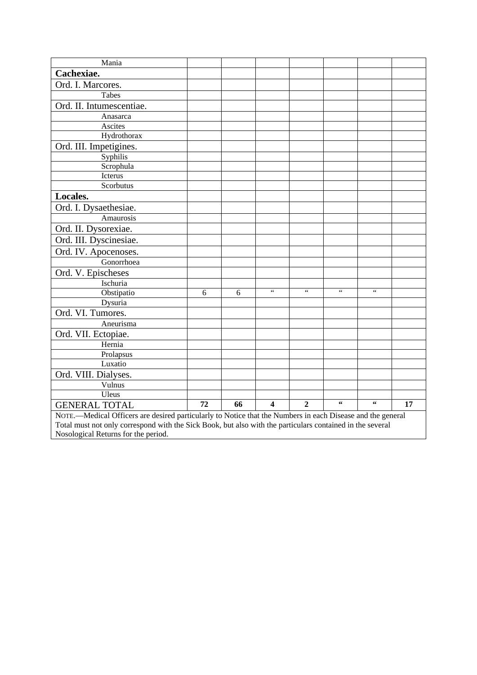| Mania                                                                                                      |    |    |                         |                 |                 |                        |    |
|------------------------------------------------------------------------------------------------------------|----|----|-------------------------|-----------------|-----------------|------------------------|----|
| Cachexiae.                                                                                                 |    |    |                         |                 |                 |                        |    |
| Ord. I. Marcores.                                                                                          |    |    |                         |                 |                 |                        |    |
| Tabes                                                                                                      |    |    |                         |                 |                 |                        |    |
| Ord. II. Intumescentiae.                                                                                   |    |    |                         |                 |                 |                        |    |
| Anasarca                                                                                                   |    |    |                         |                 |                 |                        |    |
| Ascites                                                                                                    |    |    |                         |                 |                 |                        |    |
| Hydrothorax                                                                                                |    |    |                         |                 |                 |                        |    |
| Ord. III. Impetigines.                                                                                     |    |    |                         |                 |                 |                        |    |
| Syphilis                                                                                                   |    |    |                         |                 |                 |                        |    |
| Scrophula                                                                                                  |    |    |                         |                 |                 |                        |    |
| Icterus                                                                                                    |    |    |                         |                 |                 |                        |    |
| Scorbutus                                                                                                  |    |    |                         |                 |                 |                        |    |
| Locales.                                                                                                   |    |    |                         |                 |                 |                        |    |
| Ord. I. Dysaethesiae.                                                                                      |    |    |                         |                 |                 |                        |    |
| Amaurosis                                                                                                  |    |    |                         |                 |                 |                        |    |
| Ord. II. Dysorexiae.                                                                                       |    |    |                         |                 |                 |                        |    |
| Ord. III. Dyscinesiae.                                                                                     |    |    |                         |                 |                 |                        |    |
| Ord. IV. Apocenoses.                                                                                       |    |    |                         |                 |                 |                        |    |
| Gonorrhoea                                                                                                 |    |    |                         |                 |                 |                        |    |
| Ord. V. Epischeses                                                                                         |    |    |                         |                 |                 |                        |    |
| Ischuria                                                                                                   |    |    |                         |                 |                 |                        |    |
| Obstipatio                                                                                                 | 6  | 6  | $\zeta$ $\zeta$         | $\zeta$ $\zeta$ | $\zeta$ $\zeta$ | $\zeta$ $\zeta$        |    |
| Dysuria                                                                                                    |    |    |                         |                 |                 |                        |    |
| Ord. VI. Tumores.                                                                                          |    |    |                         |                 |                 |                        |    |
| Aneurisma                                                                                                  |    |    |                         |                 |                 |                        |    |
| Ord. VII. Ectopiae.                                                                                        |    |    |                         |                 |                 |                        |    |
| Hernia                                                                                                     |    |    |                         |                 |                 |                        |    |
| Prolapsus                                                                                                  |    |    |                         |                 |                 |                        |    |
| Luxatio                                                                                                    |    |    |                         |                 |                 |                        |    |
| Ord. VIII. Dialyses.                                                                                       |    |    |                         |                 |                 |                        |    |
| Vulnus                                                                                                     |    |    |                         |                 |                 |                        |    |
| Uleus                                                                                                      |    |    |                         |                 |                 |                        |    |
| <b>GENERAL TOTAL</b>                                                                                       | 72 | 66 | $\overline{\mathbf{4}}$ | $\overline{2}$  | $\textbf{66}$   | $\leftrightsquigarrow$ | 17 |
| NOTE.—Medical Officers are desired particularly to Notice that the Numbers in each Disease and the general |    |    |                         |                 |                 |                        |    |

Total must not only correspond with the Sick Book, but also with the particulars contained in the several Nosological Returns for the period.